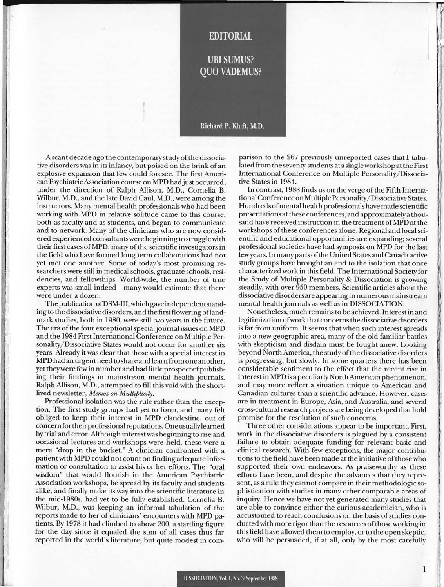## **EDITORIAL**

**UBI SUMUS? OUO VADEMUS?** 

## Richard P. Kluft. M.D.

A scant decade ago the con temporary study of the dissociative disorders was in its infancy, but poised on the brink of an explosive expansion that few could foresee. The first American Psychiatric Association course on MPD had just occurred, under the direction of Ralph Allison, M.D., Cornelia B. Wilbur, M.D., and the late David Caul, M.D., were among the instructors. Many mental health professionals who had been working with MPD in relative solitude came to this course, both as faculty and as students, and began to communicate and to network. Many of the clinicians who are now considered experienced consultants were beginning to struggle with their first cases ofMPD; many of the scientific investigators in the field who have formed long term collaborations had not yet met one another. Some of today's most promising researchers were still in medical schools, graduate schools, residencies, and fellowships. World-wide, the number of true experts was small indeed—many would estimate that there were under a dozen.

The publication ofDSM-III, which gave independen tstanding to the dissociative disorders, and the first flowering oflandmark studies, both in 1980, were still two years in the future. The era of the four exceptional special journal issues on MPD and the 1984 First International Conference on Multiple Personality/ Dissociative States would not occur for another six years. Already it was clear that those with a special interest in MPD had an urgent need to share and learn from one another, yet they were few in number and had little prospect of publishing their findings in mainstream mental health journals. Ralph Allison, M.D. , attempted to fill this void with the shortlived newsletter, *Memos on Multiplicity.* 

Professional isolation was the rule rather than the exception. The first study groups had yet to form, and many felt obliged to keep their interest in MPD clandestine, out of concern for their professional reputations. One usually learned by trial and error. Although interest was beginning to rise and occasional lectures and workshops were held, these were a mere "drop in the bucket." A clinician confronted with a patient with MPD could not count on finding adequate information or consultation to assist his or her efforts. The "oral wisdom" that would flourish in the American Psychiatric Association workshops, be spread by its faculty and students alike, and finally make its way into the scientific literature in the mid-1980s, had yet to be fully established. Cornelia B. Wilbur, M.D., was keeping an informal tabulation of the reports made to her of clinicians' encounters with MPD patients. By 1978 it had climbed to above 200, a startling figure for the day since it equaled the sum of all cases thus far reported in the world's literature, but quite modest in com-

parison to the 267 previously unreported cases that I tabulated from the seven ty studen ts ata single workshop at the First International Conference on Multiple Personality/ Dissociative States in 1984.

In contrast, 1988 finds us on the verge of the Fifth International Conference on Multiple Personality/ Dissociative States. Hundreds of mental health professionals have made scientific presentations at these conferences, and approximately a thousand have received instruction in the treatment of MPD at the workshops of these conferences alone. Regional and local scientific and educational opportunities are expanding; several professional societies have had symposia on MPD for the last fewyears. In many parts of the United States and Canada active study groups have brought an end to the isolation that once characterized work in this field. The International Society for the Study of Multiple Personality & Dissociation is growing steadily, with over 950 members. Scientific articles about the dissociative disorders are appearing in numerous mainstream mental health journals as well as in DISSOCIATION.

Nonetheless, much remains to be achieved. Interestin and legitimization of work that concerns the dissociative disorders is far from uniform. It seems that when such interest spreads into a new geographic area, many of the old familiar battles with skepticism and disdain must be fought anew. Looking beyond North America, the study of the dissociative disorders is progressing, but slowly. In some quarters there has been considerable sentiment to the effect that the recent rise in in terest in MPD is a peculiarly North American phenomenon, and may more reflect a situation unique to American and Canadian cultures than a scientific advance. However, cases are in treatment in Europe, Asia, and Australia, and several cross-cultural research projects are being developed that hold promise for the resolution of such concerns.

Three other considerations appear to be important. First, work in the dissociative disorders is plagued by a consistent failure to obtain adequate funding for relevant basic and clinical research. With few exceptions, the major contributions to the field have been made at the initiative of those who supported their own endeavors. As praiseworthy as these efforts have been, and despite the advances that they represent, as a rule they cannot compare in their methodologic sophistication with studies in many other comparable areas of inquiry. Hence we have not yet generated many studies that are able to convince either the curious academician, who is accustomed to reach conclusions on the basis of studies conducted with more rigor than the resources of those working in this field have allowed them to employ, or to the open skeptic, who will be persuaded, if at all, only by the most carefully